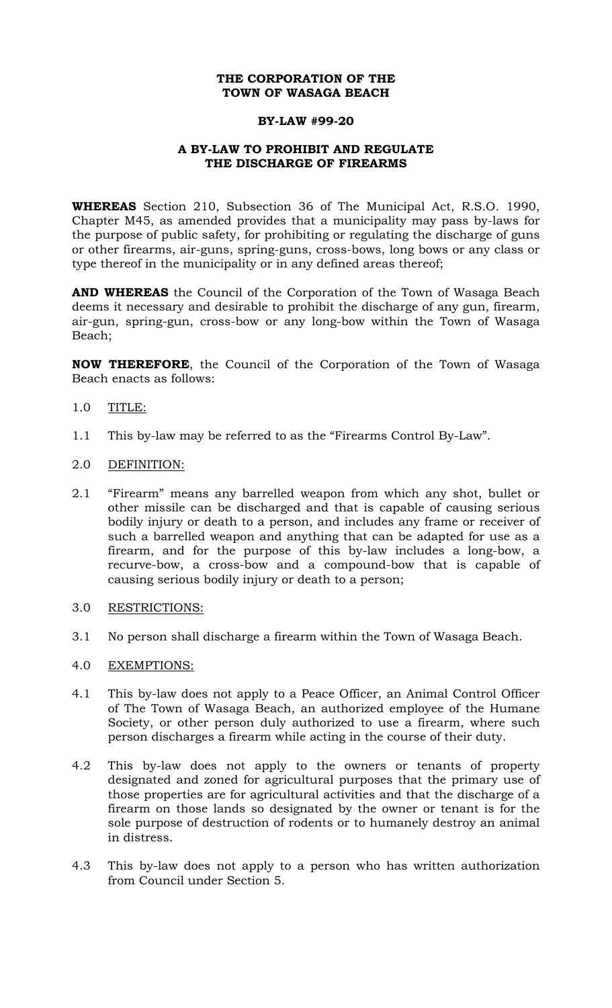# **THE CORPORATION OF THE TOWN OF WASAGA BEACH**

#### **BY-LAW #99-20**

## **A BY-LAW TO PROHIBIT AND REGULATE THE DISCHARGE OF FIREARMS**

**WHEREAS** Section 210, Subsection 36 of The Municipal Act, R.S.O. 1990, Chapter M45, as amended provides that a municipality may pass by-laws for the purpose of public safety, for prohibiting or regulating the discharge of guns or other firearms, air-guns, spring-guns, cross-bows, long bows or any class or type thereof in the municipality or in any defined areas thereof;

**AND WHEREAS** the Council of the Corporation of the Town of Wasaga Beach deems it necessary and desirable to prohibit the discharge of any gun, firearm, air-gun, spring-gun, cross-bow or any long-bow within the Town of Wasaga Beach;

**NOW THEREFORE**, the Council of the Corporation of the Town of Wasaga Beach enacts as follows:

- 1.0 TITLE:
- 1.1 This by-law may be referred to as the "Firearms Control By-Law".
- 2.0 DEFINITION:
- 2.1 "Firearm" means any barrelled weapon from which any shot, bullet or other missile can be discharged and that is capable of causing serious bodily injury or death to a person, and includes any frame or receiver of such a barrelled weapon and anything that can be adapted for use as a firearm, and for the purpose of this by-law includes a long-bow, a recurve-bow, a cross-bow and a compound-bow that is capable of causing serious bodily injury or death to a person;
- 3.0 RESTRICTIONS:
- 3.1 No person shall discharge a firearm within the Town of Wasaga Beach.
- 4.0 EXEMPTIONS:
- 4.1 This by-law does not apply to a Peace Officer, an Animal Control Officer of The Town of Wasaga Beach, an authorized employee of the Humane Society, or other person duly authorized to use a firearm, where such person discharges a firearm while acting in the course of their duty.
- 4.2 This by-law does not apply to the owners or tenants of property designated and zoned for agricultural purposes that the primary use of those properties are for agricultural activities and that the discharge of a firearm on those lands so designated by the owner or tenant is for the sole purpose of destruction of rodents or to humanely destroy an animal in distress.
- 4.3 This by-law does not apply to a person who has written authorization from Council under Section 5.